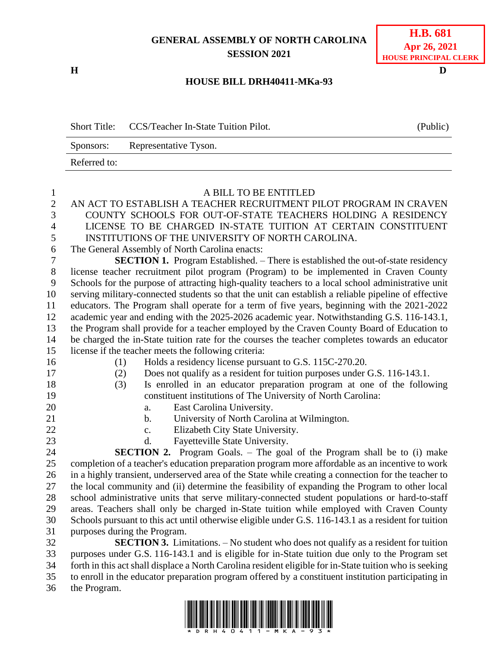## **GENERAL ASSEMBLY OF NORTH CAROLINA SESSION 2021**

**H D**

## **H.B. 681 Apr 26, 2021 HOUSE PRINCIPAL CLERK**

## **HOUSE BILL DRH40411-MKa-93**

Short Title: CCS/Teacher In-State Tuition Pilot. (Public) Sponsors: Representative Tyson. Referred to:

| $\mathbf{1}$   | A BILL TO BE ENTITLED                                                                                   |
|----------------|---------------------------------------------------------------------------------------------------------|
| $\overline{c}$ | AN ACT TO ESTABLISH A TEACHER RECRUITMENT PILOT PROGRAM IN CRAVEN                                       |
| 3              | COUNTY SCHOOLS FOR OUT-OF-STATE TEACHERS HOLDING A RESIDENCY                                            |
| $\overline{4}$ | LICENSE TO BE CHARGED IN-STATE TUITION AT CERTAIN CONSTITUENT                                           |
| 5              | INSTITUTIONS OF THE UNIVERSITY OF NORTH CAROLINA.                                                       |
| 6              | The General Assembly of North Carolina enacts:                                                          |
| $\tau$         | <b>SECTION 1.</b> Program Established. – There is established the out-of-state residency                |
| $8\,$          | license teacher recruitment pilot program (Program) to be implemented in Craven County                  |
| 9              | Schools for the purpose of attracting high-quality teachers to a local school administrative unit       |
| 10             | serving military-connected students so that the unit can establish a reliable pipeline of effective     |
| 11             | educators. The Program shall operate for a term of five years, beginning with the 2021-2022             |
| 12             | academic year and ending with the 2025-2026 academic year. Notwithstanding G.S. 116-143.1,              |
| 13             | the Program shall provide for a teacher employed by the Craven County Board of Education to             |
| 14             | be charged the in-State tuition rate for the courses the teacher completes towards an educator          |
| 15             | license if the teacher meets the following criteria:                                                    |
| 16             | Holds a residency license pursuant to G.S. 115C-270.20.<br>(1)                                          |
| 17             | Does not qualify as a resident for tuition purposes under G.S. 116-143.1.<br>(2)                        |
| 18             | Is enrolled in an educator preparation program at one of the following<br>(3)                           |
| 19             | constituent institutions of The University of North Carolina:                                           |
| 20             | East Carolina University.<br>a.                                                                         |
| 21             | University of North Carolina at Wilmington.<br>$\mathbf{b}$ .                                           |
| 22             | Elizabeth City State University.<br>$\mathbf{c}$ .                                                      |
| 23             | Fayetteville State University.<br>d.                                                                    |
| 24             | <b>SECTION 2.</b> Program Goals. - The goal of the Program shall be to (i) make                         |
| 25             | completion of a teacher's education preparation program more affordable as an incentive to work         |
| 26             | in a highly transient, underserved area of the State while creating a connection for the teacher to     |
| 27             | the local community and (ii) determine the feasibility of expanding the Program to other local          |
| 28             | school administrative units that serve military-connected student populations or hard-to-staff          |
| 29             | areas. Teachers shall only be charged in-State tuition while employed with Craven County                |
| 30             | Schools pursuant to this act until otherwise eligible under G.S. 116-143.1 as a resident for tuition    |
| 31             | purposes during the Program.                                                                            |
| 32             | <b>SECTION 3.</b> Limitations. - No student who does not qualify as a resident for tuition              |
| 33             | purposes under G.S. 116-143.1 and is eligible for in-State tuition due only to the Program set          |
| 34             | forth in this act shall displace a North Carolina resident eligible for in-State tuition who is seeking |
| 35             | to enroll in the educator preparation program offered by a constituent institution participating in     |
| 36             | the Program.                                                                                            |
|                |                                                                                                         |